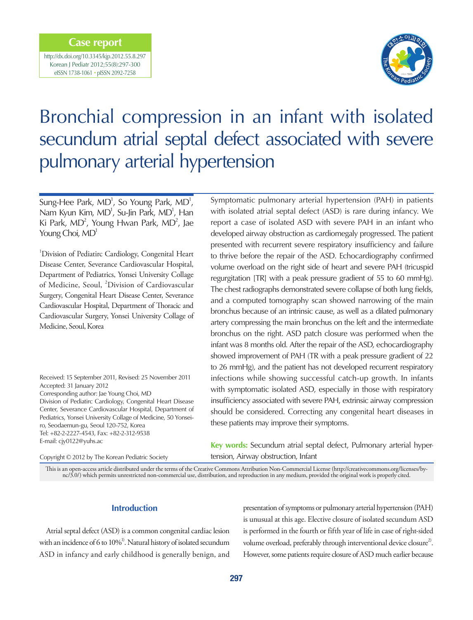## **Case report**

http://dx.doi.org/10.3345/kjp.2012.55.8.297 Korean J Pediatr 2012;55(8):297-300 eISSN 1738-1061 • pISSN 2092-7258



# Bronchial compression in an infant with isolated secundum atrial septal defect associated with severe pulmonary arterial hypertension

Sung-Hee Park,  $MD^1$ , So Young Park,  $MD^1$ , Nam Kyun Kim, MD<sup>1</sup>, Su-Jin Park, MD<sup>1</sup>, Han Ki Park,  $MD^2$ , Young Hwan Park,  $MD^2$ , Jae Young Choi, MD<sup>1</sup>

<sup>1</sup>Division of Pediatirc Cardiology, Congenital Heart Disease Center, Severance Cardiovascular Hospital, Department of Pediatrics, Yonsei University Collage of Medicine, Seoul, <sup>2</sup>Division of Cardiovascular Surgery, Congenital Heart Disease Center, Severance Cardiovascular Hospital, Department of Thoracic and Cardiovascular Surgery, Yonsei University Collage of Medicine, Seoul, Korea

Received: 15 September 2011, Revised: 25 November 2011 Accepted: 31 January 2012 Corresponding author: Jae Young Choi, MD Division of Pediatirc Cardiology, Congenital Heart Disease Center, Severance Cardiovascular Hospital, Department of

Pediatrics, Yonsei University Collage of Medicine, 50 Yonseiro, Seodaemun-gu, Seoul 120-752, Korea Tel: +82-2-2227-4543, Fax: +82-2-312-9538 E-mail: cjy0122@yuhs.ac

Symptomatic pulmonary arterial hypertension (PAH) in patients with isolated atrial septal defect (ASD) is rare during infancy. We report a case of isolated ASD with severe PAH in an infant who developed airway obstruction as cardiomegaly progressed. The patient presented with recurrent severe respiratory insufficiency and failure to thrive before the repair of the ASD. Echocardiography confirmed volume overload on the right side of heart and severe PAH (tricuspid regurgitation [TR] with a peak pressure gradient of 55 to 60 mmHg). The chest radiographs demonstrated severe collapse of both lung fields, and a computed tomography scan showed narrowing of the main bronchus because of an intrinsic cause, as well as a dilated pulmonary artery compressing the main bronchus on the left and the intermediate bronchus on the right. ASD patch closure was performed when the infant was 8 months old. After the repair of the ASD, echocardiography showed improvement of PAH (TR with a peak pressure gradient of 22 to 26 mmHg), and the patient has not developed recurrent respiratory infections while showing successful catch-up growth. In infants with symptomatic isolated ASD, especially in those with respiratory insufficiency associated with severe PAH, extrinsic airway compression should be considered. Correcting any congenital heart diseases in these patients may improve their symptoms.

**Key words:** Secundum atrial septal defect, Pulmonary arterial hypertension, Airway obstruction, Infant

Copyright © 2012 by The Korean Pediatric Society

This is an open-access article distributed under the terms of the Creative Commons Attribution Non-Commercial License (http://creativecommons.org/licenses/bync/3.0/) which permits unrestricted non-commercial use, distribution, and reproduction in any medium, provided the original work is properly cited.

#### **Introduction**

Atrial septal defect (ASD) is a common congenital cardiac lesion with an incidence of 6 to  $10\%$ <sup>1</sup>. Natural history of isolated secundum ASD in infancy and early childhood is generally benign, and

presentation of symptoms or pulmonary arterial hypertension (PAH) is unusual at this age. Elective closure of isolated secundum ASD is performed in the fourth or fifth year of life in case of right-sided volume overload, preferably through interventional device closure<sup>2</sup>. However, some patients require closure of ASD much earlier because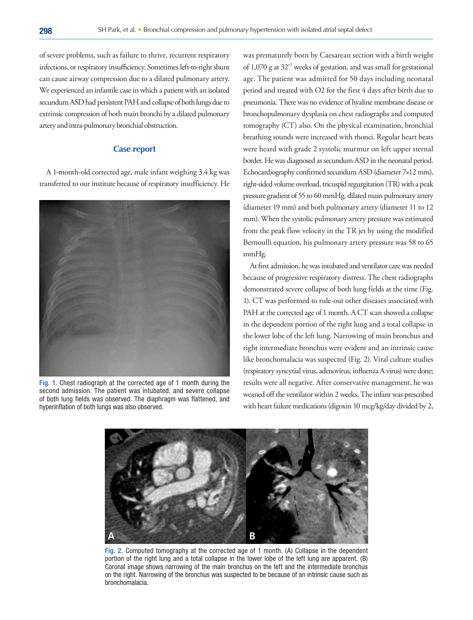of severe problems, such as failure to thrive, recurrent respiratory infections, or respiratory insufficiency. Sometimes left-to-right shunt can cause airway compression due to a dilated pulmonary artery. We experienced an infantile case in which a patient with an isolated secundum ASD had persistent PAH and collapse of both lungs due to extrinsic compression of both main bronchi by a dilated pulmonary artery and intra-pulmonary bronchial obstruction.

### **Case report**

A 1-month-old corrected age, male infant weighing 3.4 kg was transferred to our institute because of respiratory insufficiency. He



Fig. 1. Chest radiograph at the corrected age of 1 month during the second admission. The patient was intubated, and severe collapse of both lung fields was observed. The diaphragm was flattened, and hyperinflation of both lungs was also observed.

was prematurely born by Caesarean section with a birth weight of 1,070 g at  $32<sup>+1</sup>$  weeks of gestation, and was small for gestational age. The patient was admitted for 50 days including neonatal period and treated with O2 for the first 4 days after birth due to pneumonia. There was no evidence of hyaline membrane disease or bronchopulmonary dysplasia on chest radiographs and computed tomography (CT) also. On the physical examination, bronchial breathing sounds were increased with rhonci. Regular heart beats were heard with grade 2 systolic murmur on left upper sternal border. He was diagnosed as secundum ASD in the neonatal period. Echocardiography confirmed secundum ASD (diameter 7×12 mm), right-sided volume overload, tricuspid regurgitation (TR) with a peak pressure gradient of 55 to 60 mmHg, dilated main pulmonary artery (diameter 19 mm) and both pulmonary artery (diameter 11 to 12 mm). When the systolic pulmonary artery pressure was estimated from the peak flow velocity in the TR jet by using the modified Bernoulli equation, his pulmonary artery pressure was 58 to 65 mmHg.

At first admission, he was intubated and ventilator care was needed because of progressive respiratory distress. The chest radiographs demonstrated severe collapse of both lung fields at the time (Fig. 1). CT was performed to rule-out other diseases associated with PAH at the corrected age of 1 month. A CT scan showed a collapse in the dependent portion of the right lung and a total collapse in the lower lobe of the left lung. Narrowing of main bronchus and right intermediate bronchus were evident and an intrinsic cause like bronchomalacia was suspected (Fig. 2). Viral culture studies (respiratory syncytial virus, adenovirus, influenza A virus) were done; results were all negative. After conservative management, he was weaned off the ventilator within 2 weeks. The infant was prescribed with heart failure medications (digoxin 10 mcg/kg/day divided by 2,



Fig. 2. Computed tomography at the corrected age of 1 month. (A) Collapse in the dependent portion of the right lung and a total collapse in the lower lobe of the left lung are apparent. (B) Coronal image shows narrowing of the main bronchus on the left and the intermediate bronchus on the right. Narrowing of the bronchus was suspected to be because of an intrinsic cause such as bronchomalacia.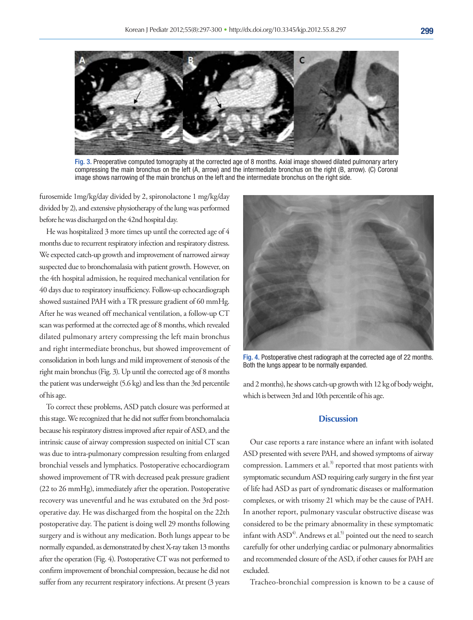

Fig. 3. Preoperative computed tomography at the corrected age of 8 months. Axial image showed dilated pulmonary artery compressing the main bronchus on the left (A, arrow) and the intermediate bronchus on the right (B, arrow). (C) Coronal image shows narrowing of the main bronchus on the left and the intermediate bronchus on the right side.

furosemide 1mg/kg/day divided by 2, spironolactone 1 mg/kg/day divided by 2), and extensive physiotherapy of the lung was performed before he was discharged on the 42nd hospital day.

He was hospitalized 3 more times up until the corrected age of 4 months due to recurrent respiratory infection and respiratory distress. We expected catch-up growth and improvement of narrowed airway suspected due to bronchomalasia with patient growth. However, on the 4th hospital admission, he required mechanical ventilation for 40 days due to respiratory insufficiency. Follow-up echocardiograph showed sustained PAH with a TR pressure gradient of 60 mmHg. After he was weaned off mechanical ventilation, a follow-up CT scan was performed at the corrected age of 8 months, which revealed dilated pulmonary artery compressing the left main bronchus and right intermediate bronchus, but showed improvement of consolidation in both lungs and mild improvement of stenosis of the right main bronchus (Fig. 3). Up until the corrected age of 8 months the patient was underweight (5.6 kg) and less than the 3rd percentile of his age.

To correct these problems, ASD patch closure was performed at this stage. We recognized that he did not suffer from bronchomalacia because his respiratory distress improved after repair of ASD, and the intrinsic cause of airway compression suspected on initial CT scan was due to intra-pulmonary compression resulting from enlarged bronchial vessels and lymphatics. Postoperative echocardiogram showed improvement of TR with decreased peak pressure gradient (22 to 26 mmHg), immediately after the operation. Postoperative recovery was uneventful and he was extubated on the 3rd postoperative day. He was discharged from the hospital on the 22th postoperative day. The patient is doing well 29 months following surgery and is without any medication. Both lungs appear to be normally expanded, as demonstrated by chest X-ray taken 13 months after the operation (Fig. 4). Postoperative CT was not performed to confirm improvement of bronchial compression, because he did not suffer from any recurrent respiratory infections. At present (3 years



Fig. 4. Postoperative chest radiograph at the corrected age of 22 months. Both the lungs appear to be normally expanded.

and 2 months), he shows catch-up growth with 12 kg of body weight, which is between 3rd and 10th percentile of his age.

# **Discussion**

Our case reports a rare instance where an infant with isolated ASD presented with severe PAH, and showed symptoms of airway compression. Lammers et al.<sup>3)</sup> reported that most patients with symptomatic secundum ASD requiring early surgery in the first year of life had ASD as part of syndromatic diseases or malformation complexes, or with trisomy 21 which may be the cause of PAH. In another report, pulmonary vascular obstructive disease was considered to be the primary abnormality in these symptomatic infant with  $ASD<sup>4</sup>$ . Andrews et al.<sup>5)</sup> pointed out the need to search carefully for other underlying cardiac or pulmonary abnormalities and recommended closure of the ASD, if other causes for PAH are excluded.

Tracheo-bronchial compression is known to be a cause of